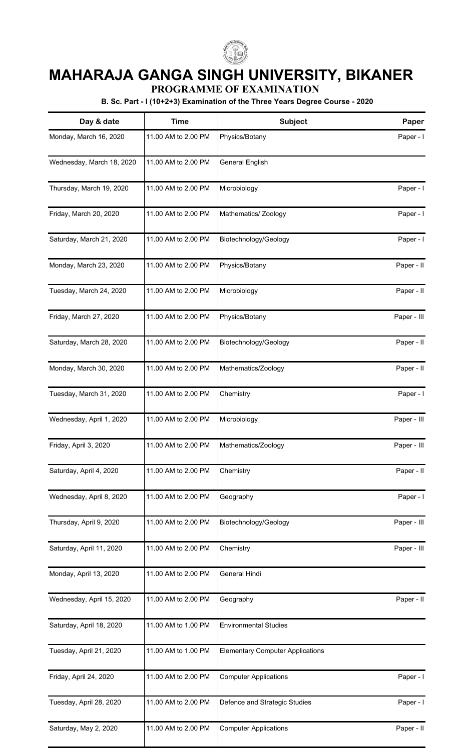

## **MAHARAJA GANGA SINGH UNIVERSITY, BIKANER**

**PROGRAMME OF EXAMINATION**

**B. Sc. Part - I (10+2+3) Examination of the Three Years Degree Course - 2020**

| Day & date                | <b>Time</b>         | Subject                                 | Paper       |
|---------------------------|---------------------|-----------------------------------------|-------------|
| Monday, March 16, 2020    | 11.00 AM to 2.00 PM | Physics/Botany                          | Paper - I   |
| Wednesday, March 18, 2020 | 11.00 AM to 2.00 PM | General English                         |             |
| Thursday, March 19, 2020  | 11.00 AM to 2.00 PM | Microbiology                            | Paper - I   |
| Friday, March 20, 2020    | 11.00 AM to 2.00 PM | Mathematics/ Zoology                    | Paper - I   |
| Saturday, March 21, 2020  | 11.00 AM to 2.00 PM | Biotechnology/Geology                   | Paper - I   |
| Monday, March 23, 2020    | 11.00 AM to 2.00 PM | Physics/Botany                          | Paper - II  |
| Tuesday, March 24, 2020   | 11.00 AM to 2.00 PM | Microbiology                            | Paper - II  |
| Friday, March 27, 2020    | 11.00 AM to 2.00 PM | Physics/Botany                          | Paper - III |
| Saturday, March 28, 2020  | 11.00 AM to 2.00 PM | Biotechnology/Geology                   | Paper - II  |
| Monday, March 30, 2020    | 11.00 AM to 2.00 PM | Mathematics/Zoology                     | Paper - II  |
| Tuesday, March 31, 2020   | 11.00 AM to 2.00 PM | Chemistry                               | Paper - I   |
| Wednesday, April 1, 2020  | 11.00 AM to 2.00 PM | Microbiology                            | Paper - III |
| Friday, April 3, 2020     | 11.00 AM to 2.00 PM | Mathematics/Zoology                     | Paper - III |
| Saturday, April 4, 2020   | 11.00 AM to 2.00 PM | Chemistry                               | Paper - II  |
| Wednesday, April 8, 2020  | 11.00 AM to 2.00 PM | Geography                               | Paper - I   |
| Thursday, April 9, 2020   | 11.00 AM to 2.00 PM | Biotechnology/Geology                   | Paper - III |
| Saturday, April 11, 2020  | 11.00 AM to 2.00 PM | Chemistry                               | Paper - III |
| Monday, April 13, 2020    | 11.00 AM to 2.00 PM | General Hindi                           |             |
| Wednesday, April 15, 2020 | 11.00 AM to 2.00 PM | Geography                               | Paper - II  |
| Saturday, April 18, 2020  | 11.00 AM to 1.00 PM | <b>Environmental Studies</b>            |             |
| Tuesday, April 21, 2020   | 11.00 AM to 1.00 PM | <b>Elementary Computer Applications</b> |             |
| Friday, April 24, 2020    | 11.00 AM to 2.00 PM | <b>Computer Applications</b>            | Paper - I   |
| Tuesday, April 28, 2020   | 11.00 AM to 2.00 PM | Defence and Strategic Studies           | Paper - I   |
| Saturday, May 2, 2020     | 11.00 AM to 2.00 PM | <b>Computer Applications</b>            | Paper - II  |